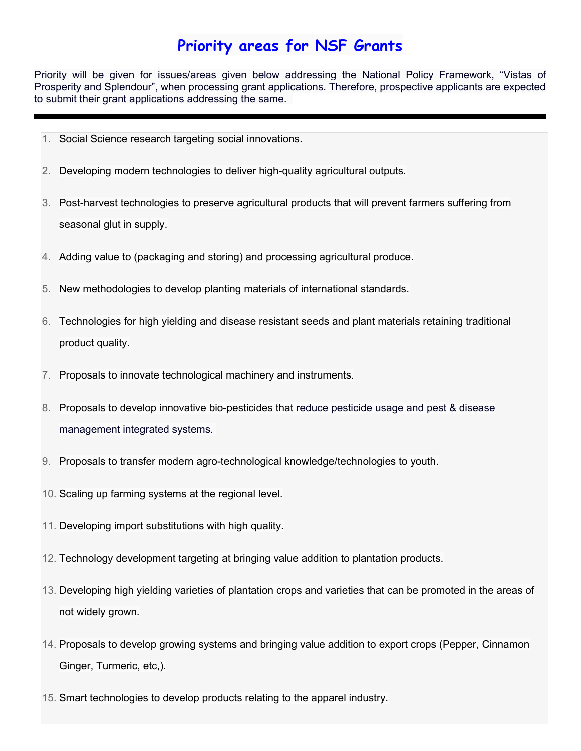## Priority areas for NSF Grants

Priority will be given for issues/areas given below addressing the National Policy Framework, "Vistas of Prosperity and Splendour", when processing grant applications. Therefore, prospective applicants are expected to submit their grant applications addressing the same.

- 1. Social Science research targeting social innovations.
- 2. Developing modern technologies to deliver high-quality agricultural outputs.
- 3. Post-harvest technologies to preserve agricultural products that will prevent farmers suffering from seasonal glut in supply.
- 4. Adding value to (packaging and storing) and processing agricultural produce.
- 5. New methodologies to develop planting materials of international standards.
- 6. Technologies for high yielding and disease resistant seeds and plant materials retaining traditional product quality.
- 7. Proposals to innovate technological machinery and instruments.
- 8. Proposals to develop innovative bio-pesticides that reduce pesticide usage and pest & disease management integrated systems.
- 9. Proposals to transfer modern agro-technological knowledge/technologies to youth.
- 10. Scaling up farming systems at the regional level.
- 11. Developing import substitutions with high quality.
- 12. Technology development targeting at bringing value addition to plantation products.
- 13. Developing high yielding varieties of plantation crops and varieties that can be promoted in the areas of not widely grown.
- 14. Proposals to develop growing systems and bringing value addition to export crops (Pepper, Cinnamon Ginger, Turmeric, etc,).
- 15. Smart technologies to develop products relating to the apparel industry.